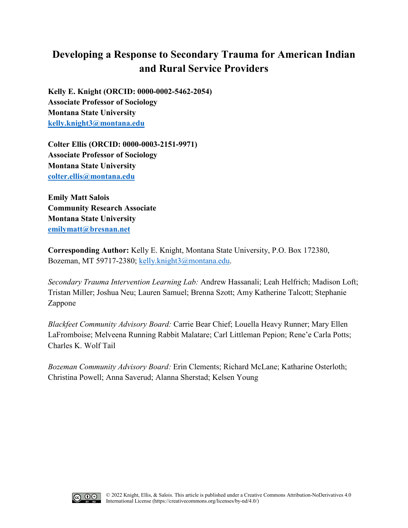# **Developing a Response to Secondary Trauma for American Indian and Rural Service Providers**

**Kelly E. Knight (ORCID: 0000-0002-5462-2054) Associate Professor of Sociology Montana State University [kelly.knight3@montana.edu](mailto:kelly.knight3@montana.edu)**

**Colter Ellis (ORCID: 0000-0003-2151-9971) Associate Professor of Sociology Montana State University [colter.ellis@montana.edu](mailto:colter.ellis@montana.edu)**

**Emily Matt Salois Community Research Associate Montana State University [emilymatt@bresnan.net](mailto:emilymatt@bresnan.net)**

**Corresponding Author:** Kelly E. Knight, Montana State University, P.O. Box 172380, Bozeman, MT 59717-2380; [kelly.knight3@montana.edu.](mailto:kelly.knight3@montana.edu)

*Secondary Trauma Intervention Learning Lab:* Andrew Hassanali; Leah Helfrich; Madison Loft; Tristan Miller; Joshua Neu; Lauren Samuel; Brenna Szott; Amy Katherine Talcott; Stephanie Zappone

*Blackfeet Community Advisory Board:* Carrie Bear Chief; Louella Heavy Runner; Mary Ellen LaFromboise; Melveena Running Rabbit Malatare; Carl Littleman Pepion; Rene'e Carla Potts; Charles K. Wolf Tail

*Bozeman Community Advisory Board:* Erin Clements; Richard McLane; Katharine Osterloth; Christina Powell; Anna Saverud; Alanna Sherstad; Kelsen Young

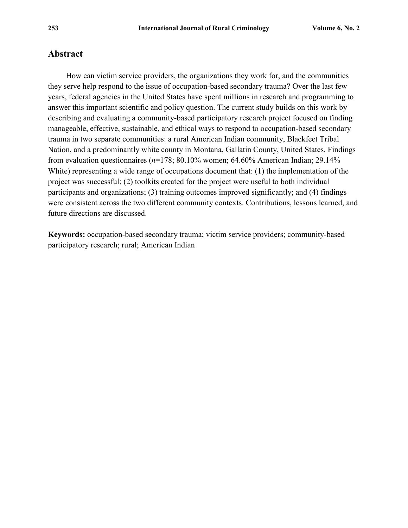# **Abstract**

How can victim service providers, the organizations they work for, and the communities they serve help respond to the issue of occupation-based secondary trauma? Over the last few years, federal agencies in the United States have spent millions in research and programming to answer this important scientific and policy question. The current study builds on this work by describing and evaluating a community-based participatory research project focused on finding manageable, effective, sustainable, and ethical ways to respond to occupation-based secondary trauma in two separate communities: a rural American Indian community, Blackfeet Tribal Nation, and a predominantly white county in Montana, Gallatin County, United States. Findings from evaluation questionnaires (*n*=178; 80.10% women; 64.60% American Indian; 29.14% White) representing a wide range of occupations document that: (1) the implementation of the project was successful; (2) toolkits created for the project were useful to both individual participants and organizations; (3) training outcomes improved significantly; and (4) findings were consistent across the two different community contexts. Contributions, lessons learned, and future directions are discussed.

**Keywords:** occupation-based secondary trauma; victim service providers; community-based participatory research; rural; American Indian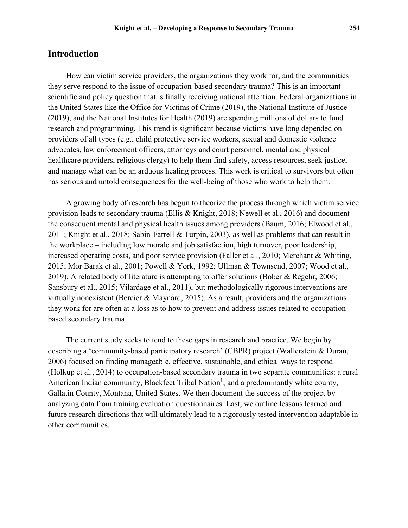# **Introduction**

How can victim service providers, the organizations they work for, and the communities they serve respond to the issue of occupation-based secondary trauma? This is an important scientific and policy question that is finally receiving national attention. Federal organizations in the United States like the Office for Victims of Crime (2019), the National Institute of Justice (2019), and the National Institutes for Health (2019) are spending millions of dollars to fund research and programming. This trend is significant because victims have long depended on providers of all types (e.g., child protective service workers, sexual and domestic violence advocates, law enforcement officers, attorneys and court personnel, mental and physical healthcare providers, religious clergy) to help them find safety, access resources, seek justice, and manage what can be an arduous healing process. This work is critical to survivors but often has serious and untold consequences for the well-being of those who work to help them.

A growing body of research has begun to theorize the process through which victim service provision leads to secondary trauma (Ellis & Knight, 2018; Newell et al., 2016) and document the consequent mental and physical health issues among providers (Baum, 2016; Elwood et al., 2011; Knight et al., 2018; Sabin-Farrell & Turpin, 2003), as well as problems that can result in the workplace – including low morale and job satisfaction, high turnover, poor leadership, increased operating costs, and poor service provision (Faller et al., 2010; Merchant & Whiting, 2015; Mor Barak et al., 2001; Powell & York, 1992; Ullman & Townsend, 2007; Wood et al., 2019). A related body of literature is attempting to offer solutions (Bober & Regehr, 2006; Sansbury et al., 2015; Vilardage et al., 2011), but methodologically rigorous interventions are virtually nonexistent (Bercier & Maynard, 2015). As a result, providers and the organizations they work for are often at a loss as to how to prevent and address issues related to occupationbased secondary trauma.

The current study seeks to tend to these gaps in research and practice. We begin by describing a 'community-based participatory research' (CBPR) project (Wallerstein & Duran, 2006) focused on finding manageable, effective, sustainable, and ethical ways to respond (Holkup et al., 2014) to occupation-based secondary trauma in two separate communities: a rural American Indian community, Blackfeet Tribal Nation<sup>1</sup>; and a predominantly white county, Gallatin County, Montana, United States. We then document the success of the project by analyzing data from training evaluation questionnaires. Last, we outline lessons learned and future research directions that will ultimately lead to a rigorously tested intervention adaptable in other communities.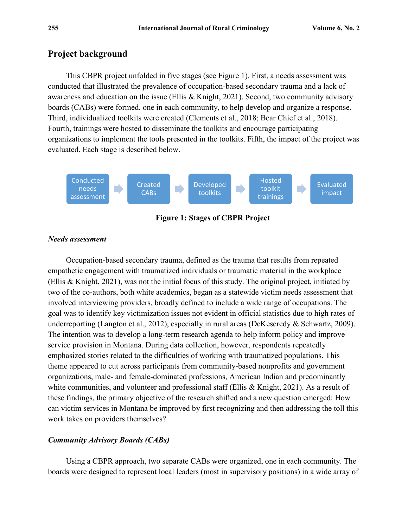# **Project background**

This CBPR project unfolded in five stages (see Figure 1). First, a needs assessment was conducted that illustrated the prevalence of occupation-based secondary trauma and a lack of awareness and education on the issue (Ellis & Knight, 2021). Second, two community advisory boards (CABs) were formed, one in each community, to help develop and organize a response. Third, individualized toolkits were created (Clements et al., 2018; Bear Chief et al., 2018). Fourth, trainings were hosted to disseminate the toolkits and encourage participating organizations to implement the tools presented in the toolkits. Fifth, the impact of the project was evaluated. Each stage is described below.



**Figure 1: Stages of CBPR Project**

## *Needs assessment*

Occupation-based secondary trauma, defined as the trauma that results from repeated empathetic engagement with traumatized individuals or traumatic material in the workplace (Ellis & Knight, 2021), was not the initial focus of this study. The original project, initiated by two of the co-authors, both white academics, began as a statewide victim needs assessment that involved interviewing providers, broadly defined to include a wide range of occupations. The goal was to identify key victimization issues not evident in official statistics due to high rates of underreporting (Langton et al., 2012), especially in rural areas (DeKeseredy & Schwartz, 2009). The intention was to develop a long-term research agenda to help inform policy and improve service provision in Montana. During data collection, however, respondents repeatedly emphasized stories related to the difficulties of working with traumatized populations. This theme appeared to cut across participants from community-based nonprofits and government organizations, male- and female-dominated professions, American Indian and predominantly white communities, and volunteer and professional staff (Ellis & Knight, 2021). As a result of these findings, the primary objective of the research shifted and a new question emerged: How can victim services in Montana be improved by first recognizing and then addressing the toll this work takes on providers themselves?

# *Community Advisory Boards (CABs)*

Using a CBPR approach, two separate CABs were organized, one in each community. The boards were designed to represent local leaders (most in supervisory positions) in a wide array of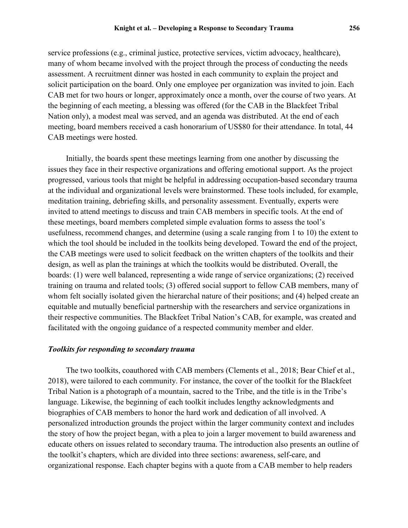many of whom became involved with the project through the process of conducting the needs assessment. A recruitment dinner was hosted in each community to explain the project and solicit participation on the board. Only one employee per organization was invited to join. Each CAB met for two hours or longer, approximately once a month, over the course of two years. At the beginning of each meeting, a blessing was offered (for the CAB in the Blackfeet Tribal Nation only), a modest meal was served, and an agenda was distributed. At the end of each meeting, board members received a cash honorarium of US\$80 for their attendance. In total, 44 CAB meetings were hosted.

Initially, the boards spent these meetings learning from one another by discussing the issues they face in their respective organizations and offering emotional support. As the project progressed, various tools that might be helpful in addressing occupation-based secondary trauma at the individual and organizational levels were brainstormed. These tools included, for example, meditation training, debriefing skills, and personality assessment. Eventually, experts were invited to attend meetings to discuss and train CAB members in specific tools. At the end of these meetings, board members completed simple evaluation forms to assess the tool's usefulness, recommend changes, and determine (using a scale ranging from 1 to 10) the extent to which the tool should be included in the toolkits being developed. Toward the end of the project, the CAB meetings were used to solicit feedback on the written chapters of the toolkits and their design, as well as plan the trainings at which the toolkits would be distributed. Overall, the boards: (1) were well balanced, representing a wide range of service organizations; (2) received training on trauma and related tools; (3) offered social support to fellow CAB members, many of whom felt socially isolated given the hierarchal nature of their positions; and (4) helped create an equitable and mutually beneficial partnership with the researchers and service organizations in their respective communities. The Blackfeet Tribal Nation's CAB, for example, was created and facilitated with the ongoing guidance of a respected community member and elder.

## *Toolkits for responding to secondary trauma*

The two toolkits, coauthored with CAB members (Clements et al., 2018; Bear Chief et al., 2018), were tailored to each community. For instance, the cover of the toolkit for the Blackfeet Tribal Nation is a photograph of a mountain, sacred to the Tribe, and the title is in the Tribe's language. Likewise, the beginning of each toolkit includes lengthy acknowledgments and biographies of CAB members to honor the hard work and dedication of all involved. A personalized introduction grounds the project within the larger community context and includes the story of how the project began, with a plea to join a larger movement to build awareness and educate others on issues related to secondary trauma. The introduction also presents an outline of the toolkit's chapters, which are divided into three sections: awareness, self-care, and organizational response. Each chapter begins with a quote from a CAB member to help readers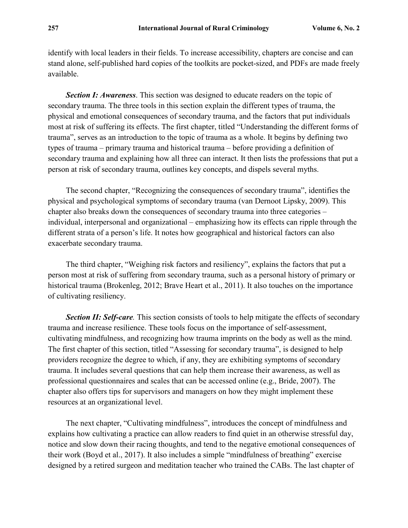identify with local leaders in their fields. To increase accessibility, chapters are concise and can stand alone, self-published hard copies of the toolkits are pocket-sized, and PDFs are made freely available.

*Section I: Awareness*. This section was designed to educate readers on the topic of secondary trauma. The three tools in this section explain the different types of trauma, the physical and emotional consequences of secondary trauma, and the factors that put individuals most at risk of suffering its effects. The first chapter, titled "Understanding the different forms of trauma", serves as an introduction to the topic of trauma as a whole. It begins by defining two types of trauma – primary trauma and historical trauma – before providing a definition of secondary trauma and explaining how all three can interact. It then lists the professions that put a person at risk of secondary trauma, outlines key concepts, and dispels several myths.

The second chapter, "Recognizing the consequences of secondary trauma", identifies the physical and psychological symptoms of secondary trauma (van Dernoot Lipsky, 2009). This chapter also breaks down the consequences of secondary trauma into three categories – individual, interpersonal and organizational – emphasizing how its effects can ripple through the different strata of a person's life. It notes how geographical and historical factors can also exacerbate secondary trauma.

The third chapter, "Weighing risk factors and resiliency", explains the factors that put a person most at risk of suffering from secondary trauma, such as a personal history of primary or historical trauma (Brokenleg, 2012; Brave Heart et al., 2011). It also touches on the importance of cultivating resiliency.

*Section II: Self-care.* This section consists of tools to help mitigate the effects of secondary trauma and increase resilience. These tools focus on the importance of self-assessment, cultivating mindfulness, and recognizing how trauma imprints on the body as well as the mind. The first chapter of this section, titled "Assessing for secondary trauma", is designed to help providers recognize the degree to which, if any, they are exhibiting symptoms of secondary trauma. It includes several questions that can help them increase their awareness, as well as professional questionnaires and scales that can be accessed online (e.g., Bride, 2007). The chapter also offers tips for supervisors and managers on how they might implement these resources at an organizational level.

The next chapter, "Cultivating mindfulness", introduces the concept of mindfulness and explains how cultivating a practice can allow readers to find quiet in an otherwise stressful day, notice and slow down their racing thoughts, and tend to the negative emotional consequences of their work (Boyd et al., 2017). It also includes a simple "mindfulness of breathing" exercise designed by a retired surgeon and meditation teacher who trained the CABs. The last chapter of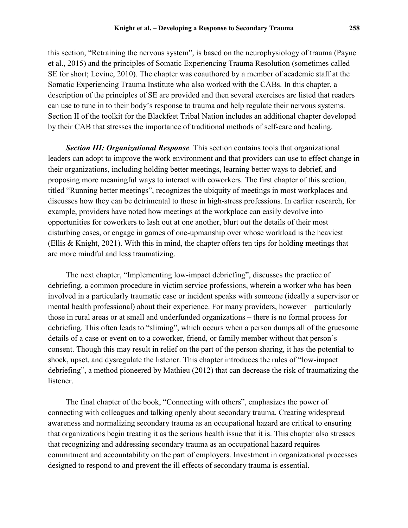this section, "Retraining the nervous system", is based on the neurophysiology of trauma (Payne et al., 2015) and the principles of Somatic Experiencing Trauma Resolution (sometimes called SE for short; Levine, 2010). The chapter was coauthored by a member of academic staff at the Somatic Experiencing Trauma Institute who also worked with the CABs. In this chapter, a description of the principles of SE are provided and then several exercises are listed that readers can use to tune in to their body's response to trauma and help regulate their nervous systems. Section II of the toolkit for the Blackfeet Tribal Nation includes an additional chapter developed by their CAB that stresses the importance of traditional methods of self-care and healing.

*Section III: Organizational Response.* This section contains tools that organizational leaders can adopt to improve the work environment and that providers can use to effect change in their organizations, including holding better meetings, learning better ways to debrief, and proposing more meaningful ways to interact with coworkers. The first chapter of this section, titled "Running better meetings", recognizes the ubiquity of meetings in most workplaces and discusses how they can be detrimental to those in high-stress professions. In earlier research, for example, providers have noted how meetings at the workplace can easily devolve into opportunities for coworkers to lash out at one another, blurt out the details of their most disturbing cases, or engage in games of one-upmanship over whose workload is the heaviest (Ellis & Knight, 2021). With this in mind, the chapter offers ten tips for holding meetings that are more mindful and less traumatizing.

The next chapter, "Implementing low-impact debriefing", discusses the practice of debriefing, a common procedure in victim service professions, wherein a worker who has been involved in a particularly traumatic case or incident speaks with someone (ideally a supervisor or mental health professional) about their experience. For many providers, however – particularly those in rural areas or at small and underfunded organizations – there is no formal process for debriefing. This often leads to "sliming", which occurs when a person dumps all of the gruesome details of a case or event on to a coworker, friend, or family member without that person's consent. Though this may result in relief on the part of the person sharing, it has the potential to shock, upset, and dysregulate the listener. This chapter introduces the rules of "low-impact debriefing", a method pioneered by Mathieu (2012) that can decrease the risk of traumatizing the listener.

The final chapter of the book, "Connecting with others", emphasizes the power of connecting with colleagues and talking openly about secondary trauma. Creating widespread awareness and normalizing secondary trauma as an occupational hazard are critical to ensuring that organizations begin treating it as the serious health issue that it is. This chapter also stresses that recognizing and addressing secondary trauma as an occupational hazard requires commitment and accountability on the part of employers. Investment in organizational processes designed to respond to and prevent the ill effects of secondary trauma is essential.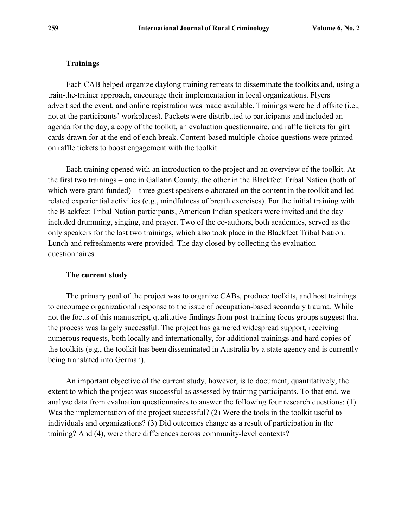## **Trainings**

Each CAB helped organize daylong training retreats to disseminate the toolkits and, using a train-the-trainer approach, encourage their implementation in local organizations. Flyers advertised the event, and online registration was made available. Trainings were held offsite (i.e., not at the participants' workplaces). Packets were distributed to participants and included an agenda for the day, a copy of the toolkit, an evaluation questionnaire, and raffle tickets for gift cards drawn for at the end of each break. Content-based multiple-choice questions were printed on raffle tickets to boost engagement with the toolkit.

Each training opened with an introduction to the project and an overview of the toolkit. At the first two trainings – one in Gallatin County, the other in the Blackfeet Tribal Nation (both of which were grant-funded) – three guest speakers elaborated on the content in the toolkit and led related experiential activities (e.g., mindfulness of breath exercises). For the initial training with the Blackfeet Tribal Nation participants, American Indian speakers were invited and the day included drumming, singing, and prayer. Two of the co-authors, both academics, served as the only speakers for the last two trainings, which also took place in the Blackfeet Tribal Nation. Lunch and refreshments were provided. The day closed by collecting the evaluation questionnaires.

## **The current study**

The primary goal of the project was to organize CABs, produce toolkits, and host trainings to encourage organizational response to the issue of occupation-based secondary trauma. While not the focus of this manuscript, qualitative findings from post-training focus groups suggest that the process was largely successful. The project has garnered widespread support, receiving numerous requests, both locally and internationally, for additional trainings and hard copies of the toolkits (e.g., the toolkit has been disseminated in Australia by a state agency and is currently being translated into German).

An important objective of the current study, however, is to document, quantitatively, the extent to which the project was successful as assessed by training participants. To that end, we analyze data from evaluation questionnaires to answer the following four research questions: (1) Was the implementation of the project successful? (2) Were the tools in the toolkit useful to individuals and organizations? (3) Did outcomes change as a result of participation in the training? And (4), were there differences across community-level contexts?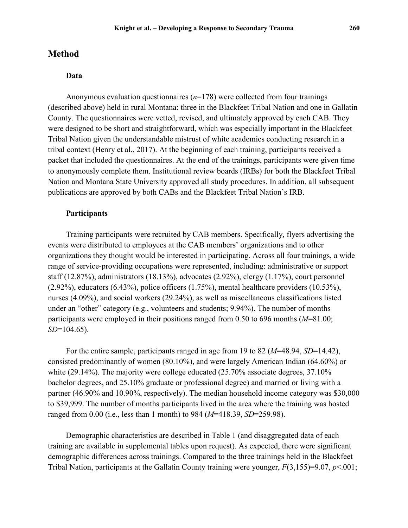# **Method**

## **Data**

Anonymous evaluation questionnaires (*n*=178) were collected from four trainings (described above) held in rural Montana: three in the Blackfeet Tribal Nation and one in Gallatin County. The questionnaires were vetted, revised, and ultimately approved by each CAB. They were designed to be short and straightforward, which was especially important in the Blackfeet Tribal Nation given the understandable mistrust of white academics conducting research in a tribal context (Henry et al., 2017). At the beginning of each training, participants received a packet that included the questionnaires. At the end of the trainings, participants were given time to anonymously complete them. Institutional review boards (IRBs) for both the Blackfeet Tribal Nation and Montana State University approved all study procedures. In addition, all subsequent publications are approved by both CABs and the Blackfeet Tribal Nation's IRB.

#### **Participants**

Training participants were recruited by CAB members. Specifically, flyers advertising the events were distributed to employees at the CAB members' organizations and to other organizations they thought would be interested in participating. Across all four trainings, a wide range of service-providing occupations were represented, including: administrative or support staff (12.87%), administrators (18.13%), advocates (2.92%), clergy (1.17%), court personnel  $(2.92\%)$ , educators  $(6.43\%)$ , police officers  $(1.75\%)$ , mental healthcare providers  $(10.53\%)$ , nurses (4.09%), and social workers (29.24%), as well as miscellaneous classifications listed under an "other" category (e.g., volunteers and students; 9.94%). The number of months participants were employed in their positions ranged from 0.50 to 696 months (*M*=81.00; *SD*=104.65).

For the entire sample, participants ranged in age from 19 to 82 (*M*=48.94, *SD*=14.42), consisted predominantly of women (80.10%), and were largely American Indian (64.60%) or white (29.14%). The majority were college educated (25.70% associate degrees, 37.10% bachelor degrees, and 25.10% graduate or professional degree) and married or living with a partner (46.90% and 10.90%, respectively). The median household income category was \$30,000 to \$39,999. The number of months participants lived in the area where the training was hosted ranged from 0.00 (i.e., less than 1 month) to 984 (*M*=418.39, *SD*=259.98).

Demographic characteristics are described in Table 1 (and disaggregated data of each training are available in supplemental tables upon request). As expected, there were significant demographic differences across trainings. Compared to the three trainings held in the Blackfeet Tribal Nation, participants at the Gallatin County training were younger, *F*(3,155)=9.07, *p*<.001;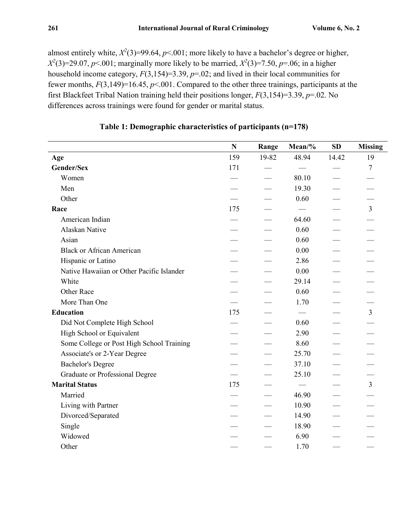almost entirely white,  $X^2(3)$ =99.64,  $p$ <.001; more likely to have a bachelor's degree or higher,  $X^2(3)=29.07, p<.001$ ; marginally more likely to be married,  $X^2(3)=7.50, p=.06$ ; in a higher household income category, *F*(3,154)=3.39, *p*=.02; and lived in their local communities for fewer months, *F*(3,149)=16.45, *p*<.001. Compared to the other three trainings, participants at the first Blackfeet Tribal Nation training held their positions longer, *F*(3,154)=3.39, *p*=.02. No differences across trainings were found for gender or marital status.

|                                           | N   | Range | Mean/% | <b>SD</b> | <b>Missing</b> |
|-------------------------------------------|-----|-------|--------|-----------|----------------|
| Age                                       | 159 | 19-82 | 48.94  | 14.42     | 19             |
| Gender/Sex                                | 171 |       |        |           | $\overline{7}$ |
| Women                                     |     |       | 80.10  |           |                |
| Men                                       |     |       | 19.30  |           |                |
| Other                                     |     |       | 0.60   |           |                |
| Race                                      | 175 |       |        |           | $\overline{3}$ |
| American Indian                           |     |       | 64.60  |           |                |
| Alaskan Native                            |     |       | 0.60   |           |                |
| Asian                                     |     |       | 0.60   |           |                |
| <b>Black or African American</b>          |     |       | 0.00   |           |                |
| Hispanic or Latino                        |     |       | 2.86   |           |                |
| Native Hawaiian or Other Pacific Islander |     |       | 0.00   |           |                |
| White                                     |     |       | 29.14  |           |                |
| Other Race                                |     |       | 0.60   |           |                |
| More Than One                             |     |       | 1.70   |           |                |
| <b>Education</b>                          | 175 |       |        |           | $\mathfrak{Z}$ |
| Did Not Complete High School              |     |       | 0.60   |           |                |
| High School or Equivalent                 |     |       | 2.90   |           |                |
| Some College or Post High School Training |     |       | 8.60   |           |                |
| Associate's or 2-Year Degree              |     |       | 25.70  |           |                |
| <b>Bachelor's Degree</b>                  |     |       | 37.10  |           |                |
| Graduate or Professional Degree           |     |       | 25.10  |           |                |
| <b>Marital Status</b>                     | 175 |       |        |           | $\overline{3}$ |
| Married                                   |     |       | 46.90  |           |                |
| Living with Partner                       |     |       | 10.90  |           |                |
| Divorced/Separated                        |     |       | 14.90  |           |                |
| Single                                    |     |       | 18.90  |           |                |
| Widowed                                   |     |       | 6.90   |           |                |
| Other                                     |     |       | 1.70   |           |                |

# **Table 1: Demographic characteristics of participants (n=178)**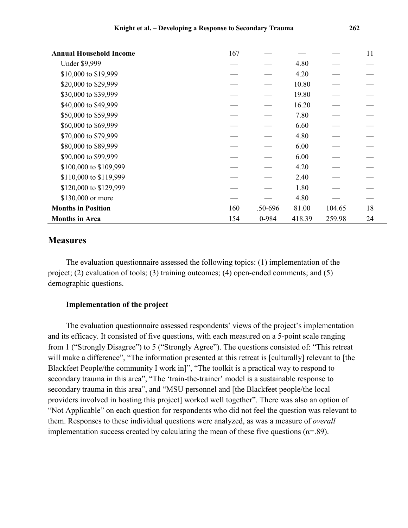| <b>Annual Household Income</b> | 167 |         |        |        | 11 |
|--------------------------------|-----|---------|--------|--------|----|
| <b>Under \$9,999</b>           |     |         | 4.80   |        |    |
| \$10,000 to \$19,999           |     |         | 4.20   |        |    |
| \$20,000 to \$29,999           |     |         | 10.80  |        |    |
| \$30,000 to \$39,999           |     |         | 19.80  |        |    |
| \$40,000 to \$49,999           |     |         | 16.20  |        |    |
| \$50,000 to \$59,999           |     |         | 7.80   |        |    |
| \$60,000 to \$69,999           |     |         | 6.60   |        |    |
| \$70,000 to \$79,999           |     |         | 4.80   |        |    |
| \$80,000 to \$89,999           |     |         | 6.00   |        |    |
| \$90,000 to \$99,999           |     |         | 6.00   |        |    |
| \$100,000 to \$109,999         |     |         | 4.20   |        |    |
| \$110,000 to \$119,999         |     |         | 2.40   |        |    |
| \$120,000 to \$129,999         |     |         | 1.80   |        |    |
| \$130,000 or more              |     |         | 4.80   |        |    |
| <b>Months in Position</b>      | 160 | .50-696 | 81.00  | 104.65 | 18 |
| <b>Months in Area</b>          | 154 | 0-984   | 418.39 | 259.98 | 24 |

# **Measures**

The evaluation questionnaire assessed the following topics: (1) implementation of the project; (2) evaluation of tools; (3) training outcomes; (4) open-ended comments; and (5) demographic questions.

#### **Implementation of the project**

The evaluation questionnaire assessed respondents' views of the project's implementation and its efficacy. It consisted of five questions, with each measured on a 5-point scale ranging from 1 ("Strongly Disagree") to 5 ("Strongly Agree"). The questions consisted of: "This retreat will make a difference", "The information presented at this retreat is [culturally] relevant to [the Blackfeet People/the community I work in]", "The toolkit is a practical way to respond to secondary trauma in this area", "The 'train-the-trainer' model is a sustainable response to secondary trauma in this area", and "MSU personnel and [the Blackfeet people/the local providers involved in hosting this project] worked well together". There was also an option of "Not Applicable" on each question for respondents who did not feel the question was relevant to them. Responses to these individual questions were analyzed, as was a measure of *overall* implementation success created by calculating the mean of these five questions ( $\alpha$ =.89).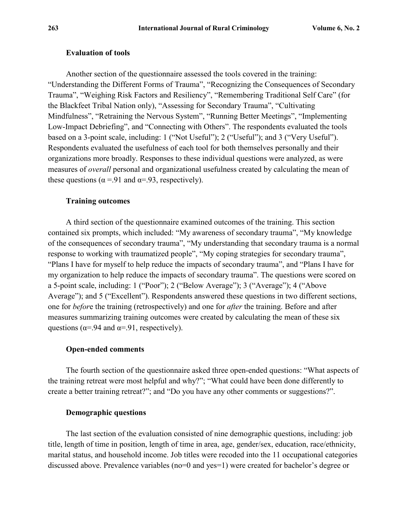## **Evaluation of tools**

Another section of the questionnaire assessed the tools covered in the training: "Understanding the Different Forms of Trauma", "Recognizing the Consequences of Secondary Trauma", "Weighing Risk Factors and Resiliency", "Remembering Traditional Self Care" (for the Blackfeet Tribal Nation only), "Assessing for Secondary Trauma", "Cultivating Mindfulness", "Retraining the Nervous System", "Running Better Meetings", "Implementing Low-Impact Debriefing", and "Connecting with Others". The respondents evaluated the tools based on a 3-point scale, including: 1 ("Not Useful"); 2 ("Useful"); and 3 ("Very Useful"). Respondents evaluated the usefulness of each tool for both themselves personally and their organizations more broadly. Responses to these individual questions were analyzed, as were measures of *overall* personal and organizational usefulness created by calculating the mean of these questions ( $\alpha$  =.91 and  $\alpha$ =.93, respectively).

## **Training outcomes**

A third section of the questionnaire examined outcomes of the training. This section contained six prompts, which included: "My awareness of secondary trauma", "My knowledge of the consequences of secondary trauma", "My understanding that secondary trauma is a normal response to working with traumatized people", "My coping strategies for secondary trauma", "Plans I have for myself to help reduce the impacts of secondary trauma", and "Plans I have for my organization to help reduce the impacts of secondary trauma". The questions were scored on a 5-point scale, including: 1 ("Poor"); 2 ("Below Average"); 3 ("Average"); 4 ("Above Average"); and 5 ("Excellent"). Respondents answered these questions in two different sections, one for *befor*e the training (retrospectively) and one for *after* the training. Before and after measures summarizing training outcomes were created by calculating the mean of these six questions ( $\alpha$ =.94 and  $\alpha$ =.91, respectively).

# **Open-ended comments**

The fourth section of the questionnaire asked three open-ended questions: "What aspects of the training retreat were most helpful and why?"; "What could have been done differently to create a better training retreat?"; and "Do you have any other comments or suggestions?".

## **Demographic questions**

The last section of the evaluation consisted of nine demographic questions, including: job title, length of time in position, length of time in area, age, gender/sex, education, race/ethnicity, marital status, and household income. Job titles were recoded into the 11 occupational categories discussed above. Prevalence variables (no=0 and yes=1) were created for bachelor's degree or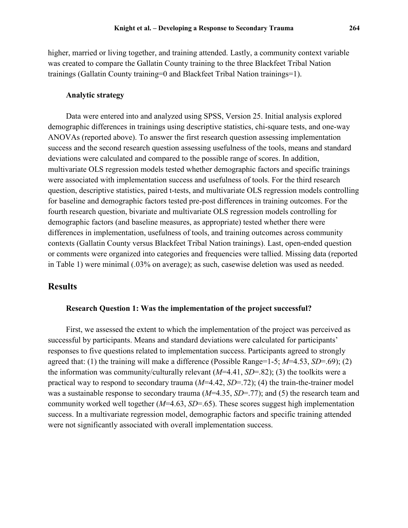higher, married or living together, and training attended. Lastly, a community context variable was created to compare the Gallatin County training to the three Blackfeet Tribal Nation trainings (Gallatin County training=0 and Blackfeet Tribal Nation trainings=1).

## **Analytic strategy**

Data were entered into and analyzed using SPSS, Version 25. Initial analysis explored demographic differences in trainings using descriptive statistics, chi-square tests, and one-way ANOVAs (reported above). To answer the first research question assessing implementation success and the second research question assessing usefulness of the tools, means and standard deviations were calculated and compared to the possible range of scores. In addition, multivariate OLS regression models tested whether demographic factors and specific trainings were associated with implementation success and usefulness of tools. For the third research question, descriptive statistics, paired t-tests, and multivariate OLS regression models controlling for baseline and demographic factors tested pre-post differences in training outcomes. For the fourth research question, bivariate and multivariate OLS regression models controlling for demographic factors (and baseline measures, as appropriate) tested whether there were differences in implementation, usefulness of tools, and training outcomes across community contexts (Gallatin County versus Blackfeet Tribal Nation trainings). Last, open-ended question or comments were organized into categories and frequencies were tallied. Missing data (reported in Table 1) were minimal (.03% on average); as such, casewise deletion was used as needed.

# **Results**

#### **Research Question 1: Was the implementation of the project successful?**

First, we assessed the extent to which the implementation of the project was perceived as successful by participants. Means and standard deviations were calculated for participants' responses to five questions related to implementation success. Participants agreed to strongly agreed that: (1) the training will make a difference (Possible Range=1-5; *M*=4.53, *SD*=.69); (2) the information was community/culturally relevant (*M*=4.41, *SD*=.82); (3) the toolkits were a practical way to respond to secondary trauma (*M*=4.42, *SD*=.72); (4) the train-the-trainer model was a sustainable response to secondary trauma (*M*=4.35, *SD*=.77); and (5) the research team and community worked well together (*M*=4.63, *SD*=.65). These scores suggest high implementation success. In a multivariate regression model, demographic factors and specific training attended were not significantly associated with overall implementation success.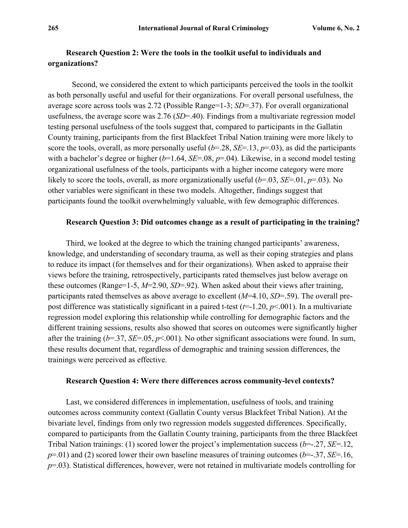# **Research Question 2: Were the tools in the toolkit useful to individuals and organizations?**

 Second, we considered the extent to which participants perceived the tools in the toolkit as both personally useful and useful for their organizations. For overall personal usefulness, the average score across tools was 2.72 (Possible Range=1-3; *SD*=.37). For overall organizational usefulness, the average score was 2.76 (*SD*=.40). Findings from a multivariate regression model testing personal usefulness of the tools suggest that, compared to participants in the Gallatin County training, participants from the first Blackfeet Tribal Nation training were more likely to score the tools, overall, as more personally useful (*b*=.28, *SE*=.13, *p*=.03), as did the participants with a bachelor's degree or higher ( $b=1.64$ , *SE*=.08,  $p=.04$ ). Likewise, in a second model testing organizational usefulness of the tools, participants with a higher income category were more likely to score the tools, overall, as more organizationally useful (*b*=.03, *SE*=.01, *p*=.03). No other variables were significant in these two models. Altogether, findings suggest that participants found the toolkit overwhelmingly valuable, with few demographic differences.

#### **Research Question 3: Did outcomes change as a result of participating in the training?**

Third, we looked at the degree to which the training changed participants' awareness, knowledge, and understanding of secondary trauma, as well as their coping strategies and plans to reduce its impact (for themselves and for their organizations). When asked to appraise their views before the training, retrospectively, participants rated themselves just below average on these outcomes (Range=1-5, *M*=2.90, *SD*=.92). When asked about their views after training, participants rated themselves as above average to excellent (*M*=4.10, *SD*=.59). The overall prepost difference was statistically significant in a paired t-test (*t*=-1.20, *p*<.001). In a multivariate regression model exploring this relationship while controlling for demographic factors and the different training sessions, results also showed that scores on outcomes were significantly higher after the training (*b*=.37, *SE*=.05, *p*<.001). No other significant associations were found. In sum, these results document that, regardless of demographic and training session differences, the trainings were perceived as effective.

## **Research Question 4: Were there differences across community-level contexts?**

Last, we considered differences in implementation, usefulness of tools, and training outcomes across community context (Gallatin County versus Blackfeet Tribal Nation). At the bivariate level, findings from only two regression models suggested differences. Specifically, compared to participants from the Gallatin County training, participants from the three Blackfeet Tribal Nation trainings: (1) scored lower the project's implementation success (*b*=-.27, *SE*=.12, *p*=.01) and (2) scored lower their own baseline measures of training outcomes (*b*=-.37, *SE*=.16, *p*=.03). Statistical differences, however, were not retained in multivariate models controlling for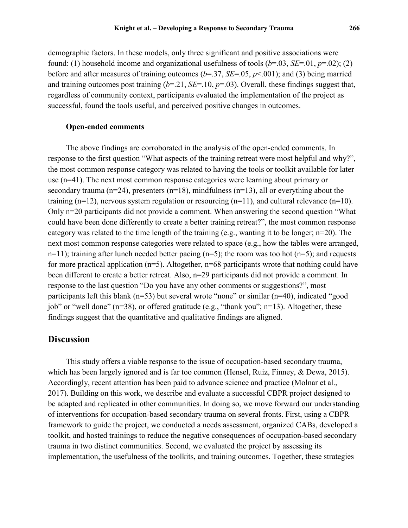demographic factors. In these models, only three significant and positive associations were found: (1) household income and organizational usefulness of tools (*b*=.03, *SE*=.01, *p*=.02); (2) before and after measures of training outcomes (*b*=.37, *SE*=.05, *p*<.001); and (3) being married and training outcomes post training  $(b=21, SE=.10, p=.03)$ . Overall, these findings suggest that, regardless of community context, participants evaluated the implementation of the project as successful, found the tools useful, and perceived positive changes in outcomes.

#### **Open-ended comments**

The above findings are corroborated in the analysis of the open-ended comments. In response to the first question "What aspects of the training retreat were most helpful and why?", the most common response category was related to having the tools or toolkit available for later use (n=41). The next most common response categories were learning about primary or secondary trauma ( $n=24$ ), presenters ( $n=18$ ), mindfulness ( $n=13$ ), all or everything about the training (n=12), nervous system regulation or resourcing (n=11), and cultural relevance (n=10). Only n=20 participants did not provide a comment. When answering the second question "What could have been done differently to create a better training retreat?", the most common response category was related to the time length of the training (e.g., wanting it to be longer; n=20). The next most common response categories were related to space (e.g., how the tables were arranged,  $n=11$ ); training after lunch needed better pacing ( $n=5$ ); the room was too hot ( $n=5$ ); and requests for more practical application  $(n=5)$ . Altogether,  $n=68$  participants wrote that nothing could have been different to create a better retreat. Also, n=29 participants did not provide a comment. In response to the last question "Do you have any other comments or suggestions?", most participants left this blank (n=53) but several wrote "none" or similar (n=40), indicated "good job" or "well done"  $(n=38)$ , or offered gratitude (e.g., "thank you";  $n=13$ ). Altogether, these findings suggest that the quantitative and qualitative findings are aligned.

## **Discussion**

This study offers a viable response to the issue of occupation-based secondary trauma, which has been largely ignored and is far too common (Hensel, Ruiz, Finney, & Dewa, 2015). Accordingly, recent attention has been paid to advance science and practice (Molnar et al., 2017). Building on this work, we describe and evaluate a successful CBPR project designed to be adapted and replicated in other communities. In doing so, we move forward our understanding of interventions for occupation-based secondary trauma on several fronts. First, using a CBPR framework to guide the project, we conducted a needs assessment, organized CABs, developed a toolkit, and hosted trainings to reduce the negative consequences of occupation-based secondary trauma in two distinct communities. Second, we evaluated the project by assessing its implementation, the usefulness of the toolkits, and training outcomes. Together, these strategies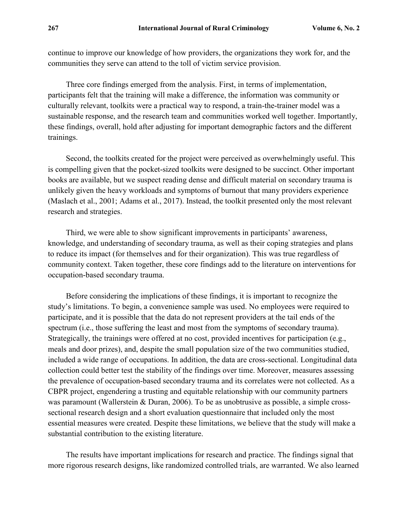continue to improve our knowledge of how providers, the organizations they work for, and the communities they serve can attend to the toll of victim service provision.

Three core findings emerged from the analysis. First, in terms of implementation, participants felt that the training will make a difference, the information was community or culturally relevant, toolkits were a practical way to respond, a train-the-trainer model was a sustainable response, and the research team and communities worked well together. Importantly, these findings, overall, hold after adjusting for important demographic factors and the different trainings.

Second, the toolkits created for the project were perceived as overwhelmingly useful. This is compelling given that the pocket-sized toolkits were designed to be succinct. Other important books are available, but we suspect reading dense and difficult material on secondary trauma is unlikely given the heavy workloads and symptoms of burnout that many providers experience (Maslach et al., 2001; Adams et al., 2017). Instead, the toolkit presented only the most relevant research and strategies.

Third, we were able to show significant improvements in participants' awareness, knowledge, and understanding of secondary trauma, as well as their coping strategies and plans to reduce its impact (for themselves and for their organization). This was true regardless of community context. Taken together, these core findings add to the literature on interventions for occupation-based secondary trauma.

Before considering the implications of these findings, it is important to recognize the study's limitations. To begin, a convenience sample was used. No employees were required to participate, and it is possible that the data do not represent providers at the tail ends of the spectrum (i.e., those suffering the least and most from the symptoms of secondary trauma). Strategically, the trainings were offered at no cost, provided incentives for participation (e.g., meals and door prizes), and, despite the small population size of the two communities studied, included a wide range of occupations. In addition, the data are cross-sectional. Longitudinal data collection could better test the stability of the findings over time. Moreover, measures assessing the prevalence of occupation-based secondary trauma and its correlates were not collected. As a CBPR project, engendering a trusting and equitable relationship with our community partners was paramount (Wallerstein & Duran, 2006). To be as unobtrusive as possible, a simple crosssectional research design and a short evaluation questionnaire that included only the most essential measures were created. Despite these limitations, we believe that the study will make a substantial contribution to the existing literature.

The results have important implications for research and practice. The findings signal that more rigorous research designs, like randomized controlled trials, are warranted. We also learned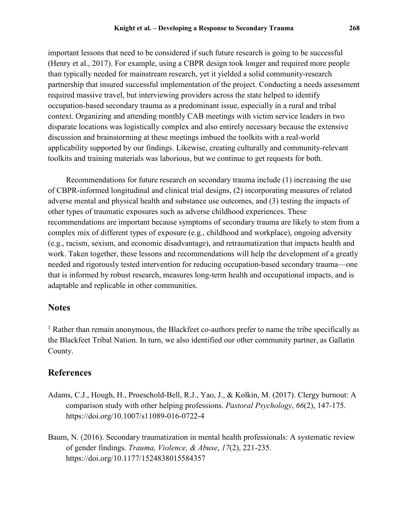important lessons that need to be considered if such future research is going to be successful (Henry et al., 2017). For example, using a CBPR design took longer and required more people than typically needed for mainstream research, yet it yielded a solid community-research partnership that insured successful implementation of the project. Conducting a needs assessment required massive travel, but interviewing providers across the state helped to identify occupation-based secondary trauma as a predominant issue, especially in a rural and tribal context. Organizing and attending monthly CAB meetings with victim service leaders in two disparate locations was logistically complex and also entirely necessary because the extensive discussion and brainstorming at these meetings imbued the toolkits with a real-world applicability supported by our findings. Likewise, creating culturally and community-relevant toolkits and training materials was laborious, but we continue to get requests for both.

Recommendations for future research on secondary trauma include (1) increasing the use of CBPR-informed longitudinal and clinical trial designs, (2) incorporating measures of related adverse mental and physical health and substance use outcomes, and (3) testing the impacts of other types of traumatic exposures such as adverse childhood experiences. These recommendations are important because symptoms of secondary trauma are likely to stem from a complex mix of different types of exposure (e.g., childhood and workplace), ongoing adversity (e.g., racism, sexism, and economic disadvantage), and retraumatization that impacts health and work. Taken together, these lessons and recommendations will help the development of a greatly needed and rigorously tested intervention for reducing occupation-based secondary trauma—one that is informed by robust research, measures long-term health and occupational impacts, and is adaptable and replicable in other communities.

# **Notes**

<sup>1</sup> Rather than remain anonymous, the Blackfeet co-authors prefer to name the tribe specifically as the Blackfeet Tribal Nation. In turn, we also identified our other community partner, as Gallatin County.

# **References**

- Adams, C.J., Hough, H., Proeschold-Bell, R.J., Yao, J., & Kolkin, M. (2017). Clergy burnout: A comparison study with other helping professions. *Pastoral Psychology*, *66*(2), 147-175. <https://doi.org/10.1007/s11089-016-0722-4>
- Baum, N. (2016). Secondary traumatization in mental health professionals: A systematic review of gender findings. *Trauma, Violence, & Abuse*, *17*(2), 221-235. <https://doi.org/10.1177/1524838015584357>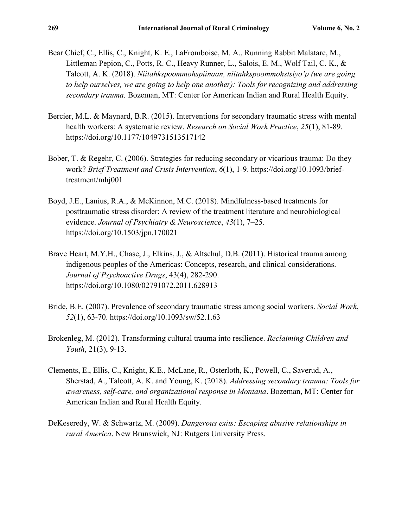- Bear Chief, C., Ellis, C., Knight, K. E., LaFromboise, M. A., Running Rabbit Malatare, M., Littleman Pepion, C., Potts, R. C., Heavy Runner, L., Salois, E. M., Wolf Tail, C. K., & Talcott, A. K. (2018). *Niitahkspoommohspiinaan, niitahkspoommohstsiyo'p (we are going to help ourselves, we are going to help one another): Tools for recognizing and addressing secondary trauma.* Bozeman, MT: Center for American Indian and Rural Health Equity.
- Bercier, M.L. & Maynard, B.R. (2015). Interventions for secondary traumatic stress with mental health workers: A systematic review. *Research on Social Work Practice*, *25*(1), 81-89. <https://doi.org/10.1177/1049731513517142>
- Bober, T. & Regehr, C. (2006). Strategies for reducing secondary or vicarious trauma: Do they work? *Brief Treatment and Crisis Intervention*, *6*(1), 1-9. [https://doi.org/10.1093/brief](https://doi.org/10.1093/brief-treatment/mhj001)[treatment/mhj001](https://doi.org/10.1093/brief-treatment/mhj001)
- Boyd, J.E., Lanius, R.A., & McKinnon, M.C. (2018). Mindfulness-based treatments for posttraumatic stress disorder: A review of the treatment literature and neurobiological evidence. *Journal of Psychiatry & Neuroscience*, *43*(1), 7–25. <https://doi.org/10.1503/jpn.170021>
- Brave Heart, M.Y.H., Chase, J., Elkins, J., & Altschul, D.B. (2011). Historical trauma among indigenous peoples of the Americas: Concepts, research, and clinical considerations. *Journal of Psychoactive Drugs*, 43(4), 282-290. <https://doi.org/10.1080/02791072.2011.628913>
- Bride, B.E. (2007). Prevalence of secondary traumatic stress among social workers. *Social Work*, *52*(1), 63-70. <https://doi.org/10.1093/sw/52.1.63>
- Brokenleg, M. (2012). Transforming cultural trauma into resilience. *Reclaiming Children and Youth*, 21(3), 9-13.
- Clements, E., Ellis, C., Knight, K.E., McLane, R., Osterloth, K., Powell, C., Saverud, A., Sherstad, A., Talcott, A. K. and Young, K. (2018). *Addressing secondary trauma: Tools for awareness, self-care, and organizational response in Montana*. Bozeman, MT: Center for American Indian and Rural Health Equity.
- DeKeseredy, W. & Schwartz, M. (2009). *Dangerous exits: Escaping abusive relationships in rural America*. New Brunswick, NJ: Rutgers University Press.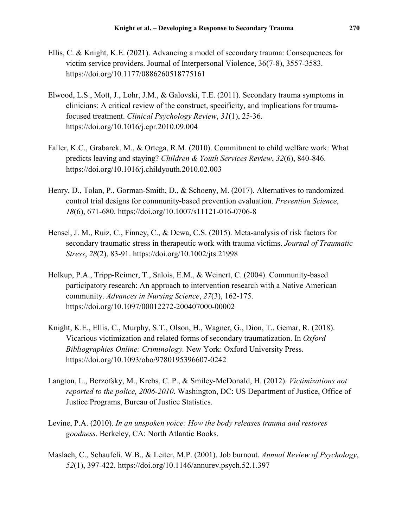- Ellis, C. & Knight, K.E. (2021). Advancing a model of secondary trauma: Consequences for victim service providers. Journal of Interpersonal Violence, 36(7-8), 3557-3583. <https://doi.org/10.1177/0886260518775161>
- Elwood, L.S., Mott, J., Lohr, J.M., & Galovski, T.E. (2011). Secondary trauma symptoms in clinicians: A critical review of the construct, specificity, and implications for traumafocused treatment. *Clinical Psychology Review*, *31*(1), 25-36. <https://doi.org/10.1016/j.cpr.2010.09.004>
- Faller, K.C., Grabarek, M., & Ortega, R.M. (2010). Commitment to child welfare work: What predicts leaving and staying? *Children & Youth Services Review*, *32*(6), 840-846. <https://doi.org/10.1016/j.childyouth.2010.02.003>
- Henry, D., Tolan, P., Gorman-Smith, D., & Schoeny, M. (2017). Alternatives to randomized control trial designs for community-based prevention evaluation. *Prevention Science*, *18*(6), 671-680. <https://doi.org/10.1007/s11121-016-0706-8>
- Hensel, J. M., Ruiz, C., Finney, C., & Dewa, C.S. (2015). Meta-analysis of risk factors for secondary traumatic stress in therapeutic work with trauma victims. *Journal of Traumatic Stress*, *28*(2), 83-91. <https://doi.org/10.1002/jts.21998>
- Holkup, P.A., Tripp-Reimer, T., Salois, E.M., & Weinert, C. (2004). Community-based participatory research: An approach to intervention research with a Native American community. *Advances in Nursing Science*, *27*(3), 162-175. <https://doi.org/10.1097/00012272-200407000-00002>
- Knight, K.E., Ellis, C., Murphy, S.T., Olson, H., Wagner, G., Dion, T., Gemar, R. (2018). Vicarious victimization and related forms of secondary traumatization. In *Oxford Bibliographies Online: Criminology.* New York: Oxford University Press. <https://doi.org/10.1093/obo/9780195396607-0242>
- Langton, L., Berzofsky, M., Krebs, C. P., & Smiley-McDonald, H. (2012). *Victimizations not reported to the police, 2006-2010*. Washington, DC: US Department of Justice, Office of Justice Programs, Bureau of Justice Statistics.
- Levine, P.A. (2010). *In an unspoken voice: How the body releases trauma and restores goodness*. Berkeley, CA: North Atlantic Books.
- Maslach, C., Schaufeli, W.B., & Leiter, M.P. (2001). Job burnout. *Annual Review of Psychology*, *52*(1), 397-422. <https://doi.org/10.1146/annurev.psych.52.1.397>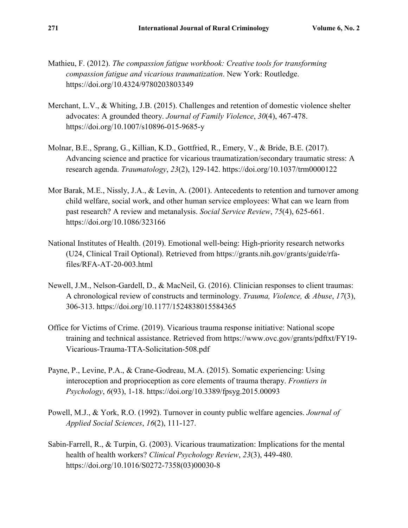- Mathieu, F. (2012). *The compassion fatigue workbook: Creative tools for transforming compassion fatigue and vicarious traumatization*. New York: Routledge. <https://doi.org/10.4324/9780203803349>
- Merchant, L.V., & Whiting, J.B. (2015). Challenges and retention of domestic violence shelter advocates: A grounded theory. *Journal of Family Violence*, *30*(4), 467-478. <https://doi.org/10.1007/s10896-015-9685-y>
- Molnar, B.E., Sprang, G., Killian, K.D., Gottfried, R., Emery, V., & Bride, B.E. (2017). Advancing science and practice for vicarious traumatization/secondary traumatic stress: A research agenda. *Traumatology*, *23*(2), 129-142. <https://doi.org/10.1037/trm0000122>
- Mor Barak, M.E., Nissly, J.A., & Levin, A. (2001). Antecedents to retention and turnover among child welfare, social work, and other human service employees: What can we learn from past research? A review and metanalysis. *Social Service Review*, *75*(4), 625-661. <https://doi.org/10.1086/323166>
- National Institutes of Health. (2019). Emotional well-being: High-priority research networks (U24, Clinical Trail Optional). Retrieved from [https://grants.nih.gov/grants/guide/rfa](https://grants.nih.gov/grants/guide/rfa-files/RFA-AT-20-003.html)[files/RFA-AT-20-003.html](https://grants.nih.gov/grants/guide/rfa-files/RFA-AT-20-003.html)
- Newell, J.M., Nelson-Gardell, D., & MacNeil, G. (2016). Clinician responses to client traumas: A chronological review of constructs and terminology. *Trauma, Violence, & Abuse*, *17*(3), 306-313. <https://doi.org/10.1177/1524838015584365>
- Office for Victims of Crime. (2019). Vicarious trauma response initiative: National scope training and technical assistance. Retrieved from [https://www.ovc.gov/grants/pdftxt/FY19-](https://www.ovc.gov/grants/pdftxt/FY19-Vicarious-Trauma-TTA-Solicitation-508.pdf) [Vicarious-Trauma-TTA-Solicitation-508.pdf](https://www.ovc.gov/grants/pdftxt/FY19-Vicarious-Trauma-TTA-Solicitation-508.pdf)
- Payne, P., Levine, P.A., & Crane-Godreau, M.A. (2015). Somatic experiencing: Using interoception and proprioception as core elements of trauma therapy. *Frontiers in Psychology*, *6*(93), 1-18.<https://doi.org/10.3389/fpsyg.2015.00093>
- Powell, M.J., & York, R.O. (1992). Turnover in county public welfare agencies. *Journal of Applied Social Sciences*, *16*(2), 111-127.
- Sabin-Farrell, R., & Turpin, G. (2003). Vicarious traumatization: Implications for the mental health of health workers? *Clinical Psychology Review*, *23*(3), 449-480. [https://doi.org/10.1016/S0272-7358\(03\)00030-8](https://doi.org/10.1016/S0272-7358(03)00030-8)